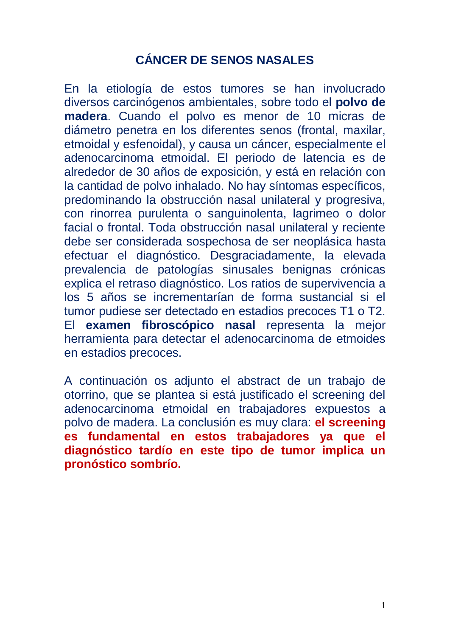## **CÁNCER DE SENOS NASALES**

En la etiología de estos tumores se han involucrado diversos carcinógenos ambientales, sobre todo el **polvo de madera**. Cuando el polvo es menor de 10 micras de diámetro penetra en los diferentes senos (frontal, maxilar, etmoidal y esfenoidal), y causa un cáncer, especialmente el adenocarcinoma etmoidal. El periodo de latencia es de alrededor de 30 años de exposición, y está en relación con la cantidad de polvo inhalado. No hay síntomas específicos, predominando la obstrucción nasal unilateral y progresiva, con rinorrea purulenta o sanguinolenta, lagrimeo o dolor facial o frontal. Toda obstrucción nasal unilateral y reciente debe ser considerada sospechosa de ser neoplásica hasta efectuar el diagnóstico. Desgraciadamente, la elevada prevalencia de patologías sinusales benignas crónicas explica el retraso diagnóstico. Los ratios de supervivencia a los 5 años se incrementarían de forma sustancial si el tumor pudiese ser detectado en estadios precoces T1 o T2. El **examen fibroscópico nasal** representa la mejor herramienta para detectar el adenocarcinoma de etmoides en estadios precoces.

A continuación os adjunto el abstract de un trabajo de otorrino, que se plantea si está justificado el screening del adenocarcinoma etmoidal en trabajadores expuestos a polvo de madera. La conclusión es muy clara: **el screening es fundamental en estos trabajadores ya que el diagnóstico tardío en este tipo de tumor implica un pronóstico sombrío.**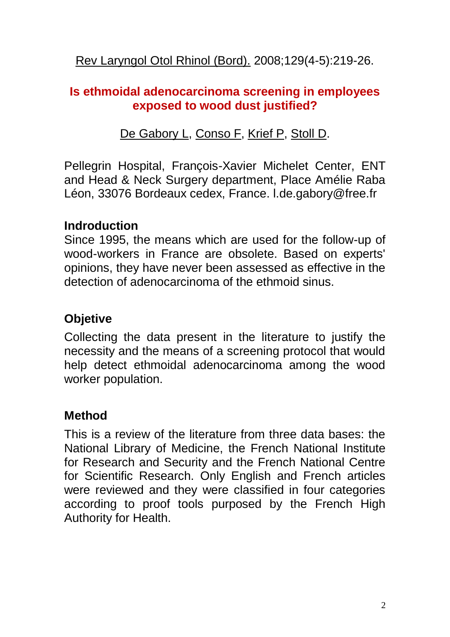Rev [Laryngol](http://www.ncbi.nlm.nih.gov/pubmed/19408499) Otol Rhinol (Bord). 2008;129(4-5):219-26.

#### **Is ethmoidal adenocarcinoma screening in employees exposed to wood dust justified?**

De [Gabory](http://www.ncbi.nlm.nih.gov/pubmed?term=%22De%20Gabory%20L%22%5BAuthor%5D) L, [Conso](http://www.ncbi.nlm.nih.gov/pubmed?term=%22Conso%20F%22%5BAuthor%5D) F, [Krief](http://www.ncbi.nlm.nih.gov/pubmed?term=%22Krief%20P%22%5BAuthor%5D) P, [Stoll](http://www.ncbi.nlm.nih.gov/pubmed?term=%22Stoll%20D%22%5BAuthor%5D) D.

Pellegrin Hospital, François-Xavier Michelet Center, ENT and Head & Neck Surgery department, Place Amélie Raba Léon, 33076 Bordeaux cedex, France. l.de.gabory@free.fr

#### **Indroduction**

Since 1995, the means which are used for the follow-up of wood-workers in France are obsolete. Based on experts' opinions, they have never been assessed as effective in the detection of adenocarcinoma of the ethmoid sinus.

## **Objetive**

Collecting the data present in the literature to justify the necessity and the means of a screening protocol that would help detect ethmoidal adenocarcinoma among the wood worker population.

## **Method**

This is a review of the literature from three data bases: the National Library of Medicine, the French National Institute for Research and Security and the French National Centre for Scientific Research. Only English and French articles were reviewed and they were classified in four categories according to proof tools purposed by the French High Authority for Health.